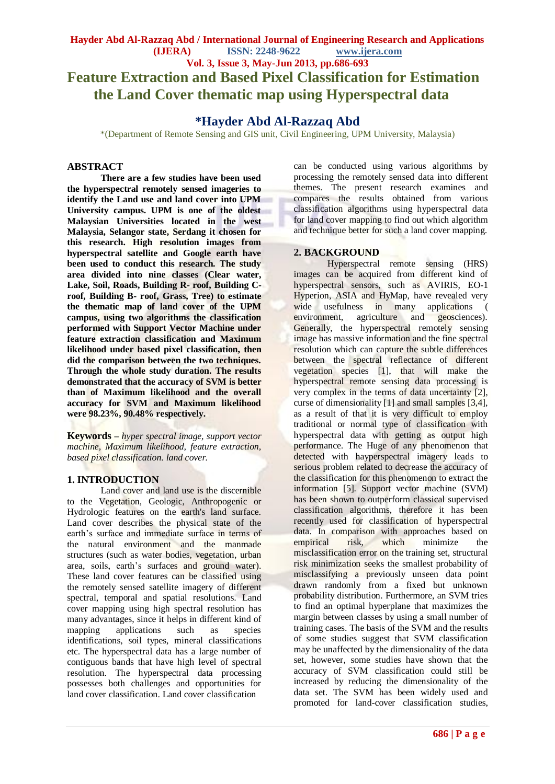**Vol. 3, Issue 3, May-Jun 2013, pp.686-693 Feature Extraction and Based Pixel Classification for Estimation the Land Cover thematic map using Hyperspectral data**

# **\*Hayder Abd Al-Razzaq Abd**

\*(Department of Remote Sensing and GIS unit, Civil Engineering, UPM University, Malaysia)

#### **ABSTRACT**

**There are a few studies have been used the hyperspectral remotely sensed imageries to identify the Land use and land cover into UPM University campus. UPM is one of the oldest Malaysian Universities located in the west Malaysia, Selangor state, Serdang it chosen for this research. High resolution images from hyperspectral satellite and Google earth have been used to conduct this research. The study area divided into nine classes (Clear water, Lake, Soil, Roads, Building R- roof, Building Croof, Building B- roof, Grass, Tree) to estimate the thematic map of land cover of the UPM campus, using two algorithms the classification performed with Support Vector Machine under feature extraction classification and Maximum likelihood under based pixel classification, then did the comparison between the two techniques. Through the whole study duration. The results demonstrated that the accuracy of SVM is better than of Maximum likelihood and the overall accuracy for SVM and Maximum likelihood were 98.23%, 90.48% respectively.**

**Keywords –** *hyper spectral image, support vector machine, Maximum likelihood, feature extraction, based pixel classification. land cover.*

# **1. INTRODUCTION**

Land cover and land use is the discernible to the Vegetation, Geologic, Anthropogenic or Hydrologic features on the earth's land surface. Land cover describes the physical state of the earth's surface and immediate surface in terms of the natural environment and the manmade structures (such as water bodies, vegetation, urban area, soils, earth's surfaces and ground water). These land cover features can be classified using the remotely sensed satellite imagery of different spectral, temporal and spatial resolutions. Land cover mapping using high spectral resolution has many advantages, since it helps in different kind of mapping applications such as species identifications, soil types, mineral classifications etc. The hyperspectral data has a large number of contiguous bands that have high level of spectral resolution. The hyperspectral data processing possesses both challenges and opportunities for land cover classification. Land cover classification

can be conducted using various algorithms by processing the remotely sensed data into different themes. The present research examines and compares the results obtained from various classification algorithms using hyperspectral data for land cover mapping to find out which algorithm and technique better for such a land cover mapping.

## **2. BACKGROUND**

Hyperspectral remote sensing (HRS) images can be acquired from different kind of hyperspectral sensors, such as AVIRIS, EO-1 Hyperion, ASIA and HyMap, have revealed very wide usefulness in many applications ( environment, agriculture and geosciences). Generally, the hyperspectral remotely sensing image has massive information and the fine spectral resolution which can capture the subtle differences between the spectral reflectance of different vegetation species [1], that will make the hyperspectral remote sensing data processing is very complex in the terms of data uncertainty [2], curse of dimensionality [1] and small samples [3,4], as a result of that it is very difficult to employ traditional or normal type of classification with hyperspectral data with getting as output high performance. The Huge of any phenomenon that detected with hayperspectral imagery leads to serious problem related to decrease the accuracy of the classification for this phenomenon to extract the information [5]. Support vector machine (SVM) has been shown to outperform classical supervised classification algorithms, therefore it has been recently used for classification of hyperspectral data. In comparison with approaches based on empirical risk, which minimize the misclassification error on the training set, structural risk minimization seeks the smallest probability of misclassifying a previously unseen data point drawn randomly from a fixed but unknown probability distribution. Furthermore, an SVM tries to find an optimal hyperplane that maximizes the margin between classes by using a small number of training cases. The basis of the SVM and the results of some studies suggest that SVM classification may be unaffected by the dimensionality of the data set, however, some studies have shown that the accuracy of SVM classification could still be increased by reducing the dimensionality of the data set. The SVM has been widely used and promoted for land-cover classification studies,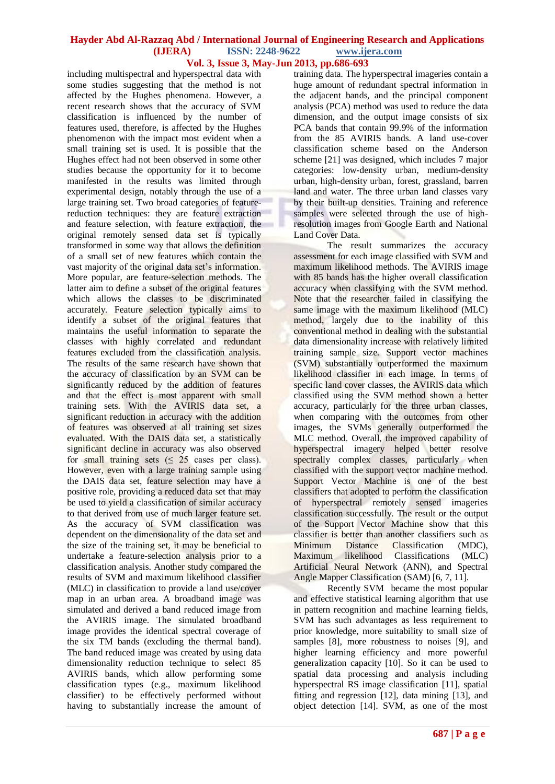including multispectral and hyperspectral data with some studies suggesting that the method is not affected by the Hughes phenomena. However, a recent research shows that the accuracy of SVM classification is influenced by the number of features used, therefore, is affected by the Hughes phenomenon with the impact most evident when a small training set is used. It is possible that the Hughes effect had not been observed in some other studies because the opportunity for it to become manifested in the results was limited through experimental design, notably through the use of a large training set. Two broad categories of featurereduction techniques: they are feature extraction and feature selection, with feature extraction, the original remotely sensed data set is typically transformed in some way that allows the definition of a small set of new features which contain the vast majority of the original data set's information. More popular, are feature-selection methods. The latter aim to define a subset of the original features which allows the classes to be discriminated accurately. Feature selection typically aims to identify a subset of the original features that maintains the useful information to separate the classes with highly correlated and redundant features excluded from the classification analysis. The results of the same research have shown that the accuracy of classification by an SVM can be significantly reduced by the addition of features and that the effect is most apparent with small training sets. With the AVIRIS data set, a significant reduction in accuracy with the addition of features was observed at all training set sizes evaluated. With the DAIS data set, a statistically significant decline in accuracy was also observed for small training sets  $\leq 25$  cases per class). However, even with a large training sample using the DAIS data set, feature selection may have a positive role, providing a reduced data set that may be used to yield a classification of similar accuracy to that derived from use of much larger feature set. As the accuracy of SVM classification was dependent on the dimensionality of the data set and the size of the training set, it may be beneficial to undertake a feature-selection analysis prior to a classification analysis. Another study compared the results of SVM and maximum likelihood classifier (MLC) in classification to provide a land use/cover map in an urban area. A broadband image was simulated and derived a band reduced image from the AVIRIS image. The simulated broadband image provides the identical spectral coverage of the six TM bands (excluding the thermal band). The band reduced image was created by using data dimensionality reduction technique to select 85 AVIRIS bands, which allow performing some classification types (e.g., maximum likelihood classifier) to be effectively performed without having to substantially increase the amount of

training data. The hyperspectral imageries contain a huge amount of redundant spectral information in the adjacent bands, and the principal component analysis (PCA) method was used to reduce the data dimension, and the output image consists of six PCA bands that contain 99.9% of the information from the 85 AVIRIS bands. A land use-cover classification scheme based on the Anderson scheme [21] was designed, which includes 7 major categories: low-density urban, medium-density urban, high-density urban, forest, grassland, barren land and water. The three urban land classes vary by their built-up densities. Training and reference samples were selected through the use of highresolution images from Google Earth and National Land Cover Data.

The result summarizes the accuracy assessment for each image classified with SVM and maximum likelihood methods. The AVIRIS image with 85 bands has the higher overall classification accuracy when classifying with the SVM method. Note that the researcher failed in classifying the same image with the maximum likelihood (MLC) method, largely due to the inability of this conventional method in dealing with the substantial data dimensionality increase with relatively limited training sample size. Support vector machines (SVM) substantially outperformed the maximum likelihood classifier in each image. In terms of specific land cover classes, the AVIRIS data which classified using the SVM method shown a better accuracy, particularly for the three urban classes, when comparing with the outcomes from other images, the SVMs generally outperformed the MLC method. Overall, the improved capability of hyperspectral imagery helped better resolve spectrally complex classes, particularly when classified with the support vector machine method. Support Vector Machine is one of the best classifiers that adopted to perform the classification of hyperspectral remotely sensed imageries classification successfully. The result or the output of the Support Vector Machine show that this classifier is better than another classifiers such as Minimum Distance Classification (MDC), Maximum likelihood Classifications (MLC) Artificial Neural Network (ANN), and Spectral Angle Mapper Classification (SAM) [6, 7, 11].

Recently SVM became the most popular and effective statistical learning algorithm that use in pattern recognition and machine learning fields, SVM has such advantages as less requirement to prior knowledge, more suitability to small size of samples [8], more robustness to noises [9], and higher learning efficiency and more powerful generalization capacity [10]. So it can be used to spatial data processing and analysis including hyperspectral RS image classification [11], spatial fitting and regression [12], data mining [13], and object detection [14]. SVM, as one of the most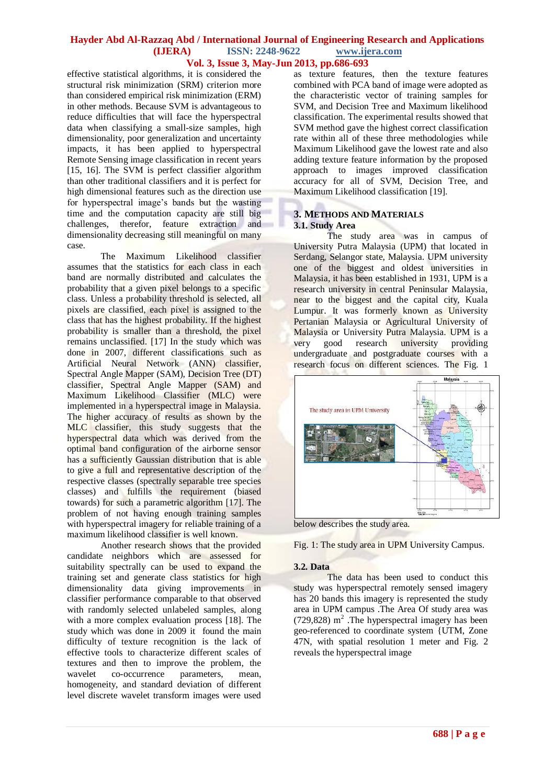effective statistical algorithms, it is considered the structural risk minimization (SRM) criterion more than considered empirical risk minimization (ERM) in other methods. Because SVM is advantageous to reduce difficulties that will face the hyperspectral data when classifying a small-size samples, high dimensionality, poor generalization and uncertainty impacts, it has been applied to hyperspectral Remote Sensing image classification in recent years [15, 16]. The SVM is perfect classifier algorithm than other traditional classifiers and it is perfect for high dimensional features such as the direction use for hyperspectral image's bands but the wasting time and the computation capacity are still big challenges, therefor, feature extraction and dimensionality decreasing still meaningful on many case.

The Maximum Likelihood classifier assumes that the statistics for each class in each band are normally distributed and calculates the probability that a given pixel belongs to a specific class. Unless a probability threshold is selected, all pixels are classified, each pixel is assigned to the class that has the highest probability. If the highest probability is smaller than a threshold, the pixel remains unclassified. [17] In the study which was done in 2007, different classifications such as Artificial Neural Network (ANN) classifier, Spectral Angle Mapper (SAM), Decision Tree (DT) classifier, Spectral Angle Mapper (SAM) and Maximum Likelihood Classifier (MLC) were implemented in a hyperspectral image in Malaysia. The higher accuracy of results as shown by the MLC classifier, this study suggests that the hyperspectral data which was derived from the optimal band configuration of the airborne sensor has a sufficiently Gaussian distribution that is able to give a full and representative description of the respective classes (spectrally separable tree species classes) and fulfills the requirement (biased towards) for such a parametric algorithm [17]. The problem of not having enough training samples with hyperspectral imagery for reliable training of a maximum likelihood classifier is well known.

Another research shows that the provided candidate neighbors which are assessed for suitability spectrally can be used to expand the training set and generate class statistics for high dimensionality data giving improvements in classifier performance comparable to that observed with randomly selected unlabeled samples, along with a more complex evaluation process [18]. The study which was done in 2009 it found the main difficulty of texture recognition is the lack of effective tools to characterize different scales of textures and then to improve the problem, the wavelet co-occurrence parameters, mean, homogeneity, and standard deviation of different level discrete wavelet transform images were used

as texture features, then the texture features combined with PCA band of image were adopted as the characteristic vector of training samples for SVM, and Decision Tree and Maximum likelihood classification. The experimental results showed that SVM method gave the highest correct classification rate within all of these three methodologies while Maximum Likelihood gave the lowest rate and also adding texture feature information by the proposed approach to images improved classification accuracy for all of SVM, Decision Tree, and Maximum Likelihood classification [19].

#### **3. METHODS AND MATERIALS 3.1. Study Area**

The study area was in campus of University Putra Malaysia (UPM) that located in Serdang, Selangor state, Malaysia. UPM university one of the biggest and oldest universities in Malaysia, it has been established in 1931, UPM is a research university in central Peninsular Malaysia, near to the biggest and the capital city, Kuala Lumpur. It was formerly known as University Pertanian Malaysia or Agricultural University of Malaysia or University Putra Malaysia. UPM is a very good research university providing undergraduate and postgraduate courses with a research focus on different sciences. The Fig. 1



below describes the study area.

Fig. 1: The study area in UPM University Campus.

#### **3.2. Data**

The data has been used to conduct this study was hyperspectral remotely sensed imagery has 20 bands this imagery is represented the study area in UPM campus .The Area Of study area was  $(729,828)$  m<sup>2</sup>. The hyperspectral imagery has been geo-referenced to coordinate system {UTM, Zone 47N, with spatial resolution 1 meter and Fig. 2 reveals the hyperspectral image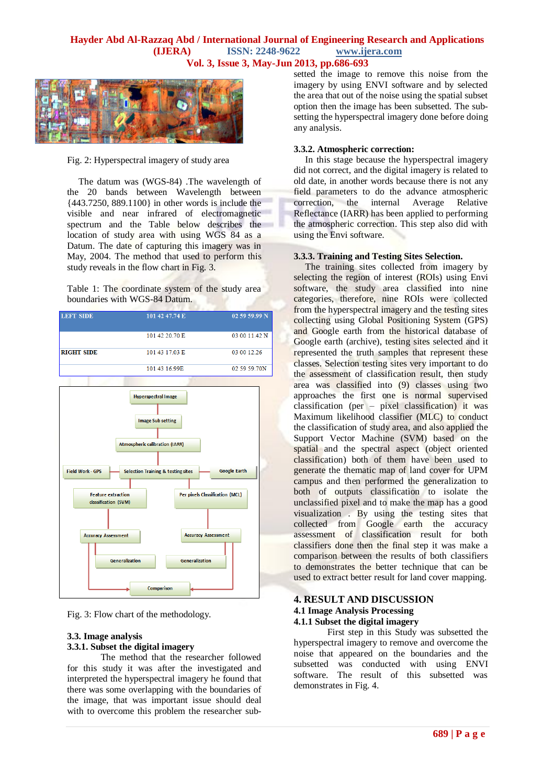

Fig. 2: Hyperspectral imagery of study area

 The datum was (WGS-84) .The wavelength of the 20 bands between Wavelength between {443.7250, 889.1100} in other words is include the visible and near infrared of electromagnetic spectrum and the Table below describes the location of study area with using WGS 84 as a Datum. The date of capturing this imagery was in May, 2004. The method that used to perform this study reveals in the flow chart in Fig. 3.

Table 1: The coordinate system of the study area boundaries with WGS-84 Datum.

| <b>LEFT SIDE</b>  | 101 42 47.74 E | 02 59 59.99 N |
|-------------------|----------------|---------------|
|                   | 101 42 20.70 E | 03 00 11.42 N |
| <b>RIGHT SIDE</b> | 101 43 17.03 E | 03 00 12 26   |
|                   | 101 43 16.99E  | 02 59 59 70N  |
|                   |                |               |



Fig. 3: Flow chart of the methodology.

# **3.3. Image analysis 3.3.1. Subset the digital imagery**

The method that the researcher followed for this study it was after the investigated and interpreted the hyperspectral imagery he found that there was some overlapping with the boundaries of the image, that was important issue should deal with to overcome this problem the researcher subsetted the image to remove this noise from the imagery by using ENVI software and by selected the area that out of the noise using the spatial subset option then the image has been subsetted. The subsetting the hyperspectral imagery done before doing any analysis.

#### **3.3.2. Atmospheric correction:**

In this stage because the hyperspectral imagery did not correct, and the digital imagery is related to old date, in another words because there is not any field parameters to do the advance atmospheric correction, the internal Average Relative Reflectance (IARR) has been applied to performing the atmospheric correction. This step also did with using the Envi software.

#### **3.3.3. Training and Testing Sites Selection.**

The training sites collected from imagery by selecting the region of interest (ROIs) using Envi software, the study area classified into nine categories, therefore, nine ROIs were collected from the hyperspectral imagery and the testing sites collecting using Global Positioning System (GPS) and Google earth from the historical database of Google earth (archive), testing sites selected and it represented the truth samples that represent these classes. Selection testing sites very important to do the assessment of classification result, then study area was classified into (9) classes using two approaches the first one is normal supervised classification (per – pixel classification) it was Maximum likelihood classifier (MLC) to conduct the classification of study area, and also applied the Support Vector Machine (SVM) based on the spatial and the spectral aspect (object oriented classification) both of them have been used to generate the thematic map of land cover for UPM campus and then performed the generalization to both of outputs classification to isolate the unclassified pixel and to make the map has a good visualization . By using the testing sites that collected from Google earth the accuracy assessment of classification result for both classifiers done then the final step it was make a comparison between the results of both classifiers to demonstrates the better technique that can be used to extract better result for land cover mapping.

#### **4. RESULT AND DISCUSSION 4.1 Image Analysis Processing 4.1.1 Subset the digital imagery**

First step in this Study was subsetted the hyperspectral imagery to remove and overcome the noise that appeared on the boundaries and the subsetted was conducted with using ENVI software. The result of this subsetted was demonstrates in Fig. 4.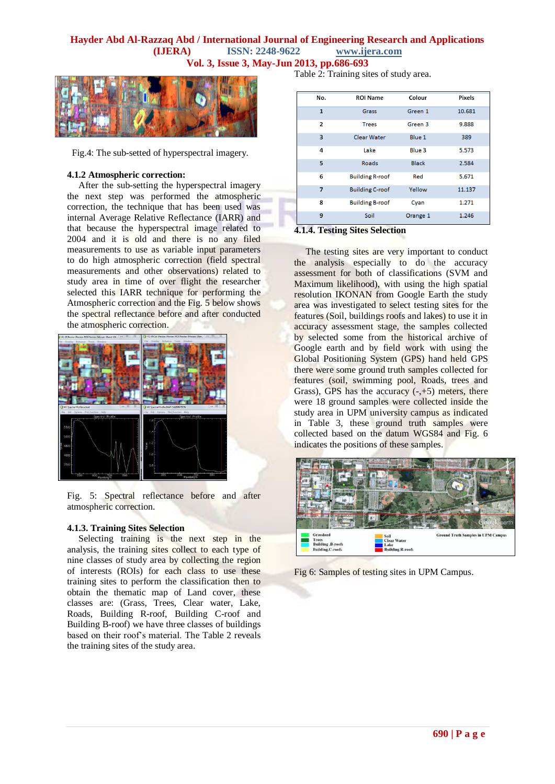

Fig.4: The sub-setted of hyperspectral imagery.

#### **4.1.2 Atmospheric correction:**

 After the sub-setting the hyperspectral imagery the next step was performed the atmospheric correction, the technique that has been used was internal Average Relative Reflectance (IARR) and that because the hyperspectral image related to 2004 and it is old and there is no any filed measurements to use as variable input parameters to do high atmospheric correction (field spectral measurements and other observations) related to study area in time of over flight the researcher selected this IARR technique for performing the Atmospheric correction and the Fig. 5 below shows the spectral reflectance before and after conducted the atmospheric correction.



Fig. 5: Spectral reflectance before and after atmospheric correction.

#### **4.1.3. Training Sites Selection**

 Selecting training is the next step in the analysis, the training sites collect to each type of nine classes of study area by collecting the region of interests (ROIs) for each class to use these training sites to perform the classification then to obtain the thematic map of Land cover, these classes are: (Grass, Trees, Clear water, Lake, Roads, Building R-roof, Building C-roof and Building B-roof) we have three classes of buildings based on their roof's material. The Table 2 reveals the training sites of the study area.

Table 2: Training sites of study area.

| No.            | <b>ROI Name</b>        | Colour       | Pixels |
|----------------|------------------------|--------------|--------|
| $\mathbf{1}$   | Grass                  | Green 1      | 10.681 |
| $\overline{2}$ | <b>Trees</b>           | Green 3      | 9.888  |
| 3              | Clear Water            | Blue 1       | 389    |
| 4              | Lake                   | Blue 3       | 5.573  |
| 5              | Roads                  | <b>Black</b> | 2.584  |
| 6              | <b>Building R-roof</b> | Red          | 5.671  |
| 7              | <b>Building C-roof</b> | Yellow       | 11.137 |
| 8              | <b>Building B-roof</b> | Cyan         | 1.271  |
| 9              | Soil                   | Orange 1     | 1.246  |

# **4.1.4. Testing Sites Selection**

The testing sites are very important to conduct the analysis especially to do the accuracy assessment for both of classifications (SVM and Maximum likelihood), with using the high spatial resolution IKONAN from Google Earth the study area was investigated to select testing sites for the features (Soil, buildings roofs and lakes) to use it in accuracy assessment stage, the samples collected by selected some from the historical archive of Google earth and by field work with using the Global Positioning System (GPS) hand held GPS there were some ground truth samples collected for features (soil, swimming pool, Roads, trees and Grass), GPS has the accuracy  $(-, +5)$  meters, there were 18 ground samples were collected inside the study area in UPM university campus as indicated in Table 3, these ground truth samples were collected based on the datum WGS84 and Fig. 6 indicates the positions of these samples.



Fig 6: Samples of testing sites in UPM Campus.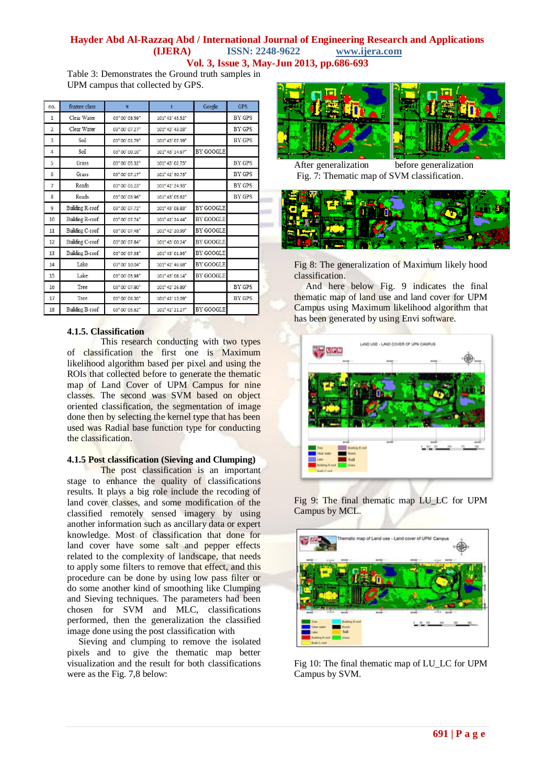Table 3: Demonstrates the Ground truth samples in UPM campus that collected by GPS.

| no.            | feature class   | N              | E               | Google           | <b>GPS</b>    |
|----------------|-----------------|----------------|-----------------|------------------|---------------|
| $\mathbf{1}$   | Clear Water     | 03° 00' 08.59" | 101° 42' 43.52" |                  | BY GPS        |
| $\overline{2}$ | Clear Water     | 03° 00' 07.27" | 101° 42' 43.03" |                  | BY GPS        |
| 3              | Soil            | 03° 00' 01.79" | 101° 43' 07.39" |                  | BY GPS        |
| 4              | Soil            | 03° 00' 00.10" | 101° 43' 14.67" | BY GOOGLE        |               |
| 5              | Grass           | 03° 00' 05.32" | 101° 43' 02.73" |                  | BY GPS        |
| 6              | Grass           | 03° 00' 07.17" | 101° 42' 30.73" |                  | BY GPS        |
| $\overline{7}$ | Roads           | 03° 00' 03.23" | 101° 42' 24.93" |                  | BY GPS        |
| 8              | Roads           | 03° 00' 03.96" | 101° 43' 05.62" |                  | BY GPS        |
| 9              | Building R-roof | 03° 00' 07.72" | 101° 43' 08.83" | BY GOOGLE        |               |
| 10             | Building R-roof | 03° 00' 07.74" | 101° 42' 24.44" | <b>BY GOOGLE</b> |               |
| 11             | Building C-roof | 03° 00' 07.48" | 101° 42' 20.99" | BY GOOGLE        |               |
| 12             | Building C-roof | 03° 00' 07.84" | 101° 43' 00.24" | BY GOOGLE        |               |
| 13             | Building B-roof | 03° 00' 07.38" | 101° 43' 01.93" | BY GOOGLE        |               |
| 14             | Lake            | 03° 00' 10.04" | 101° 42' 46.68" | BY GOOGLE        |               |
| 15             | Lake            | 03° 00' 05.98" | 101° 43' 08.14" | BY GOOGLE        |               |
| 16             | Tree            | 03° 00' 07.80" | 101° 42' 26.89" |                  | <b>BY GPS</b> |
| 17             | Tree            | 03° 00' 06.30" | 101° 42' 13.09" |                  | BY GPS        |
| 18             | Building B-roof | 03° 00' 05.62" | 101° 42' 21.27" | <b>BY GOOGLE</b> |               |

## **4.1.5. Classification**

This research conducting with two types of classification the first one is Maximum likelihood algorithm based per pixel and using the ROIs that collected before to generate the thematic map of Land Cover of UPM Campus for nine classes. The second was SVM based on object oriented classification, the segmentation of image done then by selecting the kernel type that has been used was Radial base function type for conducting the classification.

#### **4.1.5 Post classification (Sieving and Clumping)**

The post classification is an important stage to enhance the quality of classifications results. It plays a big role include the recoding of land cover classes, and some modification of the classified remotely sensed imagery by using another information such as ancillary data or expert knowledge. Most of classification that done for land cover have some salt and pepper effects related to the complexity of landscape, that needs to apply some filters to remove that effect, and this procedure can be done by using low pass filter or do some another kind of smoothing like Clumping and Sieving techniques. The parameters had been chosen for SVM and MLC, classifications performed, then the generalization the classified image done using the post classification with

 Sieving and clumping to remove the isolated pixels and to give the thematic map better visualization and the result for both classifications were as the Fig. 7,8 below:



After generalization before generalization Fig. 7: Thematic map of SVM classification.



Fig 8: The generalization of Maximum likely hood classification.

 And here below Fig. 9 indicates the final thematic map of land use and land cover for UPM Campus using Maximum likelihood algorithm that has been generated by using Envi software.



Fig 9: The final thematic map LU\_LC for UPM Campus by MCL.



Fig 10: The final thematic map of LU\_LC for UPM Campus by SVM.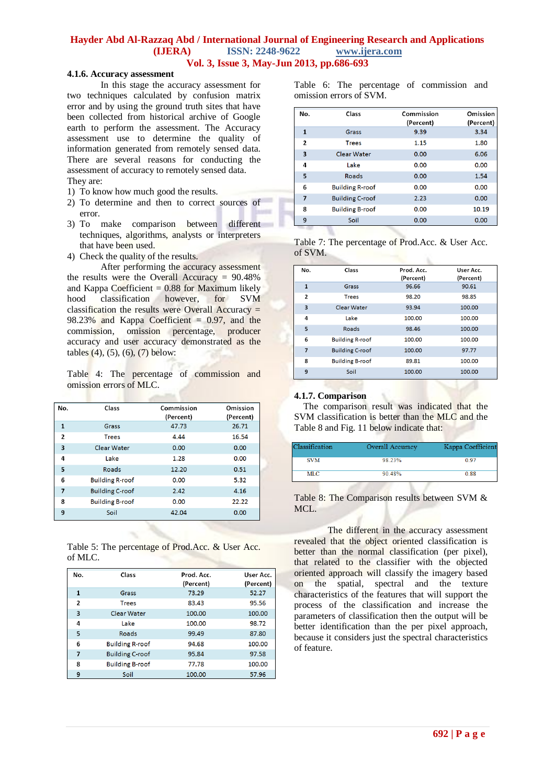#### **4.1.6. Accuracy assessment**

In this stage the accuracy assessment for two techniques calculated by confusion matrix error and by using the ground truth sites that have been collected from historical archive of Google earth to perform the assessment. The Accuracy assessment use to determine the quality of information generated from remotely sensed data. There are several reasons for conducting the assessment of accuracy to remotely sensed data. They are:

- 1) To know how much good the results.
- 2) To determine and then to correct sources of error.
- 3) To make comparison between different techniques, algorithms, analysts or interpreters that have been used.
- 4) Check the quality of the results.

After performing the accuracy assessment the results were the Overall Accuracy = 90.48% and Kappa Coefficient  $= 0.88$  for Maximum likely hood classification however, for SVM classification the results were Overall Accuracy  $=$ 98.23% and Kappa Coefficient  $= 0.97$ , and the commission, omission percentage, producer accuracy and user accuracy demonstrated as the tables (4), (5), (6), (7) below:

Table 4: The percentage of commission and omission errors of MLC.

| No.            | Class                  | Commission<br>(Percent) | Omission<br>(Percent) |
|----------------|------------------------|-------------------------|-----------------------|
| 1              | Grass                  | 47.73                   | 26.71                 |
| $\overline{2}$ | <b>Trees</b>           | 4.44                    | 16.54                 |
| 3              | <b>Clear Water</b>     | 0.00                    | 0.00                  |
| 4              | <b>Lake</b>            | 1.28                    | 0.00                  |
| 5              | Roads                  | 12.20                   | 0.51                  |
| 6              | <b>Building R-roof</b> | 0.00                    | 5.32                  |
| 7              | <b>Building C-roof</b> | 2.42                    | 4.16                  |
| 8              | <b>Building B-roof</b> | 0.00                    | 22.22                 |
| 9              | Soil                   | 42.04                   | 0.00                  |

Table 5: The percentage of Prod.Acc. & User Acc. of MLC.

| No.            | Class                  | Prod. Acc.<br>(Percent) | User Acc.<br>(Percent) |
|----------------|------------------------|-------------------------|------------------------|
| $\mathbf{1}$   | Grass                  | 73.29                   | 52.27                  |
| $\overline{2}$ | <b>Trees</b>           | 83.43                   | 95.56                  |
| 3              | Clear Water            | 100.00                  | 100.00                 |
| 4              | Lake                   | 100.00                  | 98.72                  |
| 5              | Roads                  | 99.49                   | 87.80                  |
| 6              | <b>Building R-roof</b> | 94.68                   | 100.00                 |
| 7              | <b>Building C-roof</b> | 95.84                   | 97.58                  |
| 8              | <b>Building B-roof</b> | 77.78                   | 100.00                 |
| 9              | Soil                   | 100.00                  | 57.96                  |

Table 6: The percentage of commission and omission errors of SVM.

| No.            | Class                  | Commission<br>(Percent) | Omission<br>(Percent) |
|----------------|------------------------|-------------------------|-----------------------|
| $\mathbf{1}$   | Grass                  | 9.39                    | 3.34                  |
| $\overline{2}$ | <b>Trees</b>           | 1.15                    | 1.80                  |
| 3              | Clear Water            | 0.00                    | 6.06                  |
| 4              | Lake                   | 0.00                    | 0.00                  |
| 5              | Roads                  | 0.00                    | 1.54                  |
| 6              | <b>Building R-roof</b> | 0.00                    | 0.00                  |
| $\overline{7}$ | <b>Building C-roof</b> | 2.23                    | 0.00                  |
| 8              | <b>Building B-roof</b> | 0.00                    | 10.19                 |
| 9              | Soil                   | 0.00                    | 0.00                  |

| Table 7: The percentage of Prod.Acc. & User Acc. |  |  |
|--------------------------------------------------|--|--|
| of SVM.                                          |  |  |

| No.            | Class                  | Prod. Acc.<br>(Percent) | User Acc.<br>(Percent) |
|----------------|------------------------|-------------------------|------------------------|
| $\mathbf{1}$   | Grass                  | 96.66                   | 90.61                  |
| $\overline{2}$ | <b>Trees</b>           | 98.20                   | 98.85                  |
| $\overline{3}$ | Clear Water            | 93.94                   | 100.00                 |
| $\overline{a}$ | Lake                   | 100.00                  | 100.00                 |
| 5              | Roads                  | 98.46                   | 100.00                 |
| 6              | <b>Building R-roof</b> | 100.00                  | 100.00                 |
| $\overline{7}$ | <b>Building C-roof</b> | 100.00                  | 97.77                  |
| 8              | <b>Building B-roof</b> | 89.81                   | 100.00                 |
| 9              | Soil                   | 100.00                  | 100.00                 |

#### **4.1.7. Comparison**

 The comparison result was indicated that the SVM classification is better than the MLC and the Table 8 and Fig. 11 below indicate that:

| Classification | Overall Accuracy | Kappa Coefficient |
|----------------|------------------|-------------------|
| <b>SVM</b>     | 98 23%           | 0.97              |
| <b>MLC</b>     | 90.48%           | 0.88              |
|                |                  |                   |

Table 8: The Comparison results between SVM & MCL.

The different in the accuracy assessment revealed that the object oriented classification is better than the normal classification (per pixel), that related to the classifier with the objected oriented approach will classify the imagery based on the spatial, spectral and the texture characteristics of the features that will support the process of the classification and increase the parameters of classification then the output will be better identification than the per pixel approach, because it considers just the spectral characteristics of feature.